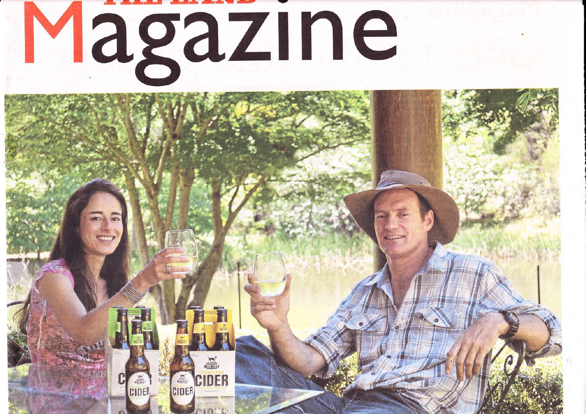

**THE** 

CIDER

CIDER

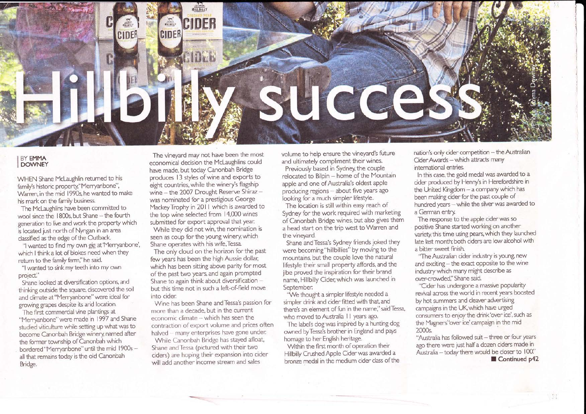

## **BY EMMA DOWNEY**

WHEN Shane Mclaughlin retumed to his family's historic property, "Merryanbone", Warren, in the mid 1990s, he wanted to make his mark on the family business.

The Mclaughlins have been committed to wool since the 1800s, but Shane - the fourth generation to live and work the property which is located just north of Nyngan in an area classified as the edge of the Outback

"l wanted to find my own gig at'Merryanbone', which I think a lot of blokes need when they return to the family farm," he said.

"l wanted to sink my teeth into my own project'

Shane looked at diversification options, and thinking outside the square, discovered the soil and climate at"Merryanbone"were ideal for growing grapes despite its arid location.

The first commercial vine plantings at "Merryanbone" were made in 1997 and Shane studied viticulture while setting up what was to become Canonbah Bridge winery named after the former township of Canonbah which bordered "Merryanbone" until the mid 1900s all that remains today is the old Canonbah Bridge.

The vineyard may not have been the most economical decision the Mclaughlins could have made, but today Canonbah Bridge produces 13 styles of wine and exports to eight countries, while the winery's flagship wine  $-$  the 2007 Drought Reserve Shiraz  $$ was nominated for a prestigious George Mackey Trophy in 2011 which is awarded to the top wine selected from 14,000 wines submitted for export approval that yean

While they did not win, the nomination is seen as coup for the young winery, which Shane operates with his wife,Tessa.

The only cloud on the horizon for the past few years has been the high Aussie dollar, which has been sitting above parity for most of the past two years, and again prompted Shane to again think about diversification but this time not in such a left-of-field move into cider:

Wine has been Shane and Tessa's passion for more than a decade, but in the current  $e$ conomic climate  $-$  which has seen the contraction of export volume and prices often halved - many enterprises have gone under.

While Canonbah Bridge has stayed afloat, Shane and Tessa (pictured with their two ciders) are hoping their expansion into cider will add another income stream and sales

volume to help ensure the vineyard's future and ultimately compliment their wines. Previously based in Sydney, the couple relocated to Bilpin - home of the Mountain apple and one of Australia's oldest apple producing regions - about five years ago looking for a much simpler lifestyle.

The location is still within easy reach of Sydney for the work required with marketing of Canonbah Bridge wines, but also gives them a head start on the trip west to Warren and the vineyard.

Shane andTessa's Sydney friends joked they were becoming "hillbillies" by moving to the mountains, but the couple love the natural. lifestyle their small property affords, and the jibe proved the inspiration for their brand name, Hillbilly Cider; which was launched in September:

"We thought a simpler lifestyle needed a simpler drink and cider fitted with that, and there's an element of fun in the name," said Tessa, who moved to Australia I I years ago.

The label's dog was inspired by a hunting dog owned by Tessa's brother in England and pays homage to her English heritage.

Within the first month of operation their Hillbilly Crushed Apple Cider was awarded a bronze medal in the medium cider class of the nation's only cider competition - the Australian Cider Awards - which attracts many intemational entries.

In this case, the gold medal was awarded to a cider produced by Henny's in Herefordshire in the United Kingdom - a company which has been making cider for the past couple of hundred years - while the silver was awarded to a German entry

The response to the apple cider was so positive Shane started working on another variety, this time using pears, which they launched late last month; both ciders are low alcohol with a bitter sweet finish.

"The Australian cider industry is young, new and exciting - the exact opposite to the wine industry which many might describe as over-crowded." Shane said.

"Cider has undergone a massive popularity revival across the world in recent years boosted by hot summers and cleaver advertising campaigns in the UK, which have urged consumers to enjoy the drink'over ice', such as the Magners"over ice'campaign in the mid 2000s.

"Australia has followed suit - three or four years ago there were just half a dozen ciders made in Australia - today there would be closer to 100." Continued p42